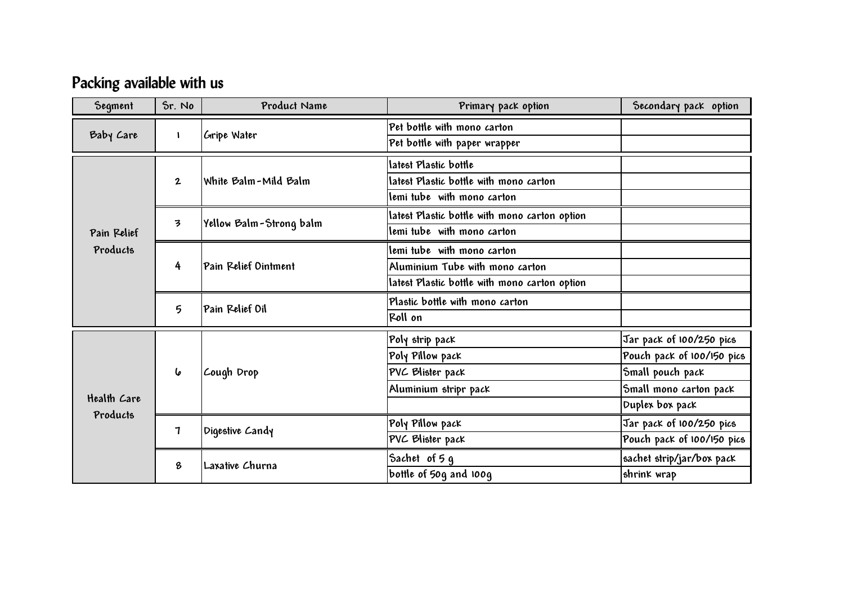## **Packing available with us**

| Segment                 | Sr. No          | Product Name            | Primary pack option                           | Secondary pack option      |
|-------------------------|-----------------|-------------------------|-----------------------------------------------|----------------------------|
| Baby Care               |                 | Gripe Water             | Pet bottle with mono carton                   |                            |
|                         |                 |                         | Pet bottle with paper wrapper                 |                            |
| Pain Relief<br>Products | $\mathbf{2}$    | White Balm-Mild Balm    | latest Plastic bottle                         |                            |
|                         |                 |                         | latest Plastic bottle with mono carton        |                            |
|                         |                 |                         | lemi tube with mono carton                    |                            |
|                         | 3               | Yellow Balm-Strong balm | latest Plastic bottle with mono carton option |                            |
|                         |                 |                         | lemi tube with mono carton                    |                            |
|                         | 4               | Pain Relief Ointment    | lemi tube with mono carton                    |                            |
|                         |                 |                         | Aluminium Tube with mono carton               |                            |
|                         |                 |                         | latest Plastic bottle with mono carton option |                            |
|                         | $5\overline{)}$ | Pain Relief Oil         | Plastic bottle with mono carton               |                            |
|                         |                 |                         | Roll on                                       |                            |
| Health Care<br>Products | 6               | Cough Drop              | Poly strip pack                               | Jar pack of 100/250 pics   |
|                         |                 |                         | Poly Pillow pack                              | Pouch pack of 100/150 pics |
|                         |                 |                         | PVC Blister pack                              | Small pouch pack           |
|                         |                 |                         | Aluminium stripr pack                         | Small mono carton pack     |
|                         |                 |                         |                                               | Duplex box pack            |
|                         | $\mathbf 7$     | Digestive Candy         | Poly Pillow pack                              | Jar pack of 100/250 pics   |
|                         |                 |                         | PVC Blister pack                              | Pouch pack of 100/150 pics |
|                         | 8               | Laxative Churna         | Sachet of 5 g                                 | sachet strip/jar/box pack  |
|                         |                 |                         | bottle of 50g and 100g                        | shrink wrap                |